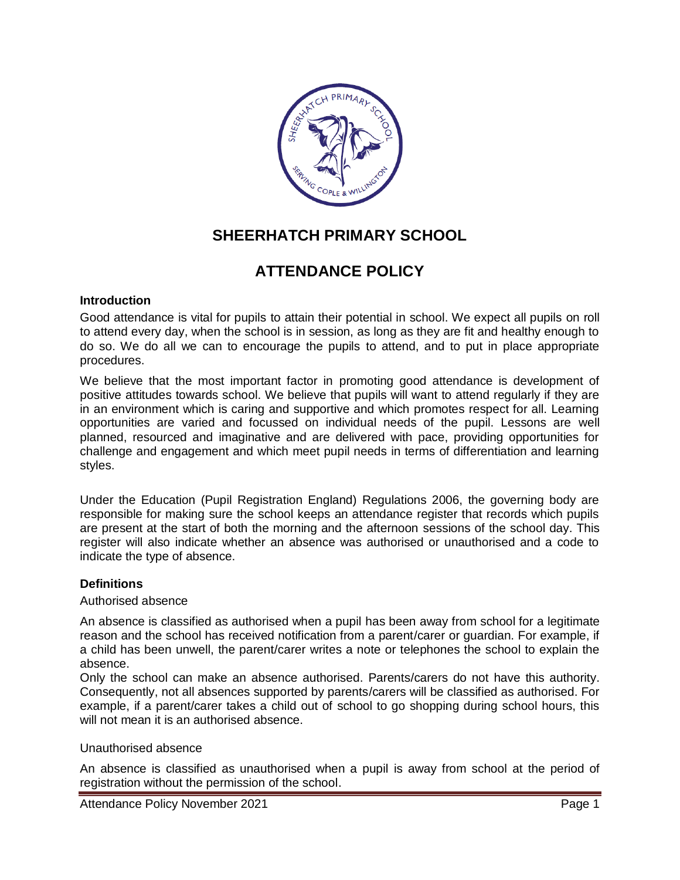

# **SHEERHATCH PRIMARY SCHOOL**

# **ATTENDANCE POLICY**

## **Introduction**

Good attendance is vital for pupils to attain their potential in school. We expect all pupils on roll to attend every day, when the school is in session, as long as they are fit and healthy enough to do so. We do all we can to encourage the pupils to attend, and to put in place appropriate procedures.

We believe that the most important factor in promoting good attendance is development of positive attitudes towards school. We believe that pupils will want to attend regularly if they are in an environment which is caring and supportive and which promotes respect for all. Learning opportunities are varied and focussed on individual needs of the pupil. Lessons are well planned, resourced and imaginative and are delivered with pace, providing opportunities for challenge and engagement and which meet pupil needs in terms of differentiation and learning styles.

Under the Education (Pupil Registration England) Regulations 2006, the governing body are responsible for making sure the school keeps an attendance register that records which pupils are present at the start of both the morning and the afternoon sessions of the school day. This register will also indicate whether an absence was authorised or unauthorised and a code to indicate the type of absence.

## **Definitions**

#### Authorised absence

An absence is classified as authorised when a pupil has been away from school for a legitimate reason and the school has received notification from a parent/carer or guardian. For example, if a child has been unwell, the parent/carer writes a note or telephones the school to explain the absence.

Only the school can make an absence authorised. Parents/carers do not have this authority. Consequently, not all absences supported by parents/carers will be classified as authorised. For example, if a parent/carer takes a child out of school to go shopping during school hours, this will not mean it is an authorised absence.

#### Unauthorised absence

An absence is classified as unauthorised when a pupil is away from school at the period of registration without the permission of the school.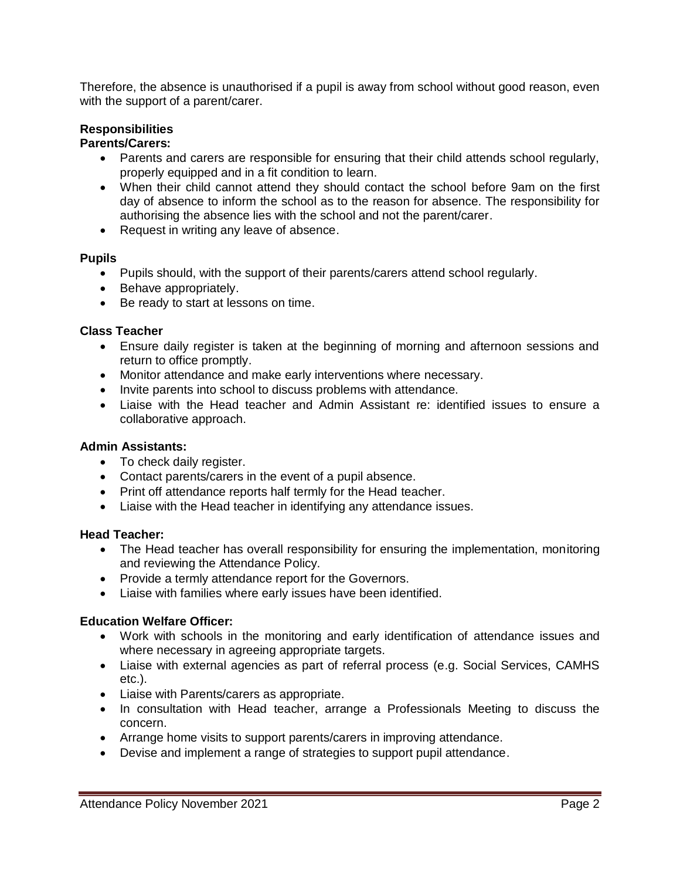Therefore, the absence is unauthorised if a pupil is away from school without good reason, even with the support of a parent/carer.

# **Responsibilities**

#### **Parents/Carers:**

- Parents and carers are responsible for ensuring that their child attends school regularly, properly equipped and in a fit condition to learn.
- When their child cannot attend they should contact the school before 9am on the first day of absence to inform the school as to the reason for absence. The responsibility for authorising the absence lies with the school and not the parent/carer.
- Request in writing any leave of absence.

#### **Pupils**

- Pupils should, with the support of their parents/carers attend school regularly.
- Behave appropriately.
- Be ready to start at lessons on time.

#### **Class Teacher**

- Ensure daily register is taken at the beginning of morning and afternoon sessions and return to office promptly.
- Monitor attendance and make early interventions where necessary.
- Invite parents into school to discuss problems with attendance.
- Liaise with the Head teacher and Admin Assistant re: identified issues to ensure a collaborative approach.

#### **Admin Assistants:**

- To check daily register.
- Contact parents/carers in the event of a pupil absence.
- Print off attendance reports half termly for the Head teacher.
- Liaise with the Head teacher in identifying any attendance issues.

#### **Head Teacher:**

- The Head teacher has overall responsibility for ensuring the implementation, monitoring and reviewing the Attendance Policy.
- Provide a termly attendance report for the Governors.
- Liaise with families where early issues have been identified.

#### **Education Welfare Officer:**

- Work with schools in the monitoring and early identification of attendance issues and where necessary in agreeing appropriate targets.
- Liaise with external agencies as part of referral process (e.g. Social Services, CAMHS etc.).
- Liaise with Parents/carers as appropriate.
- In consultation with Head teacher, arrange a Professionals Meeting to discuss the concern.
- Arrange home visits to support parents/carers in improving attendance.
- Devise and implement a range of strategies to support pupil attendance.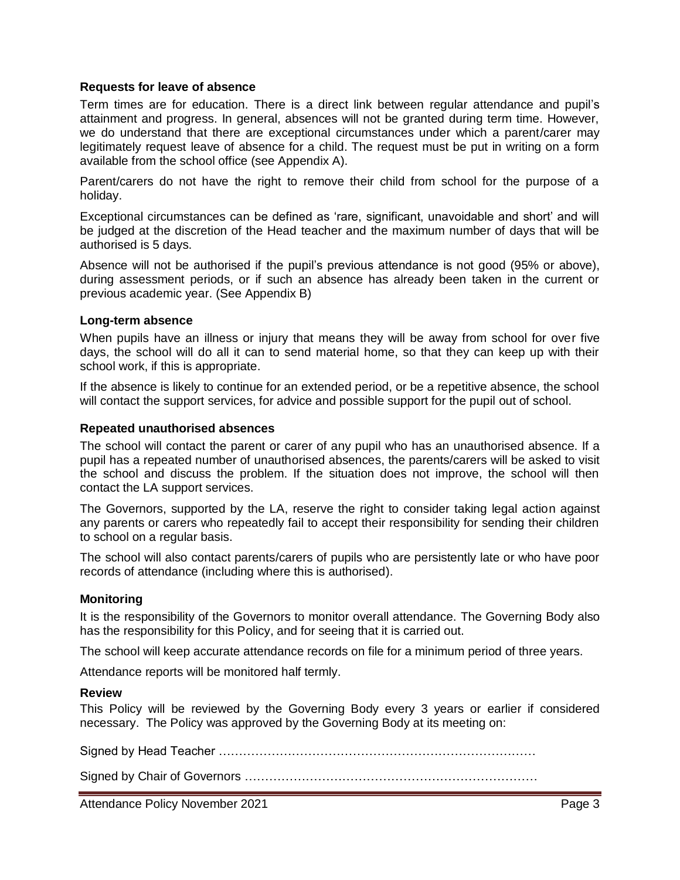#### **Requests for leave of absence**

Term times are for education. There is a direct link between regular attendance and pupil's attainment and progress. In general, absences will not be granted during term time. However, we do understand that there are exceptional circumstances under which a parent/carer may legitimately request leave of absence for a child. The request must be put in writing on a form available from the school office (see Appendix A).

Parent/carers do not have the right to remove their child from school for the purpose of a holiday.

Exceptional circumstances can be defined as 'rare, significant, unavoidable and short' and will be judged at the discretion of the Head teacher and the maximum number of days that will be authorised is 5 days.

Absence will not be authorised if the pupil's previous attendance is not good (95% or above), during assessment periods, or if such an absence has already been taken in the current or previous academic year. (See Appendix B)

#### **Long-term absence**

When pupils have an illness or injury that means they will be away from school for over five days, the school will do all it can to send material home, so that they can keep up with their school work, if this is appropriate.

If the absence is likely to continue for an extended period, or be a repetitive absence, the school will contact the support services, for advice and possible support for the pupil out of school.

#### **Repeated unauthorised absences**

The school will contact the parent or carer of any pupil who has an unauthorised absence. If a pupil has a repeated number of unauthorised absences, the parents/carers will be asked to visit the school and discuss the problem. If the situation does not improve, the school will then contact the LA support services.

The Governors, supported by the LA, reserve the right to consider taking legal action against any parents or carers who repeatedly fail to accept their responsibility for sending their children to school on a regular basis.

The school will also contact parents/carers of pupils who are persistently late or who have poor records of attendance (including where this is authorised).

#### **Monitoring**

It is the responsibility of the Governors to monitor overall attendance. The Governing Body also has the responsibility for this Policy, and for seeing that it is carried out.

The school will keep accurate attendance records on file for a minimum period of three years.

Attendance reports will be monitored half termly.

#### **Review**

This Policy will be reviewed by the Governing Body every 3 years or earlier if considered necessary. The Policy was approved by the Governing Body at its meeting on:

Signed by Head Teacher ……………………………………………………………………

Signed by Chair of Governors ………………………………………………………………

Attendance Policy November 2021 **Page 3 Page 3**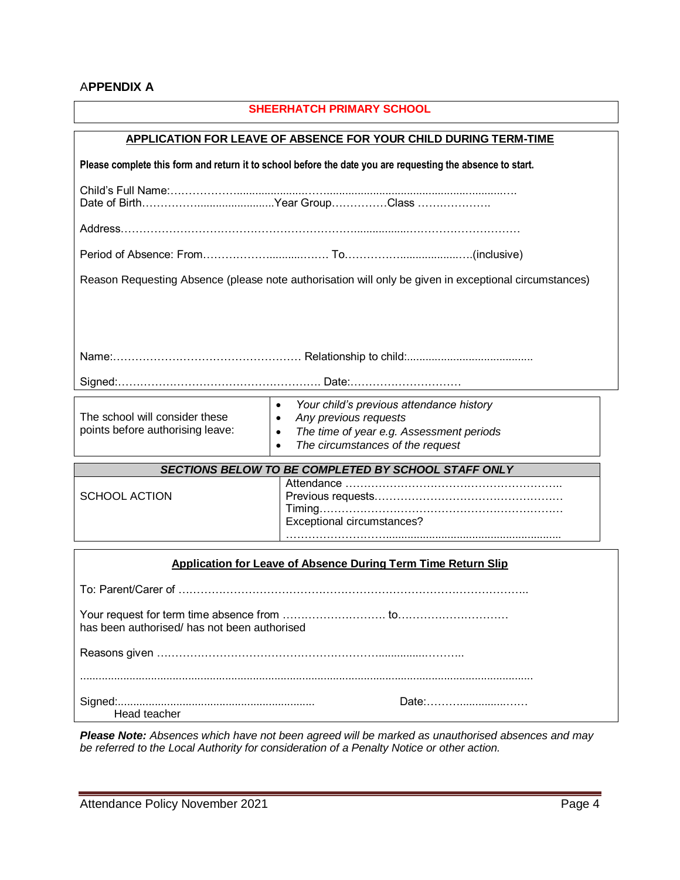## A**PPENDIX A**

| <b>SHEERHATCH PRIMARY SCHOOL</b>                                                                           |                                                                                                                                                                                                       |
|------------------------------------------------------------------------------------------------------------|-------------------------------------------------------------------------------------------------------------------------------------------------------------------------------------------------------|
| <b>APPLICATION FOR LEAVE OF ABSENCE FOR YOUR CHILD DURING TERM-TIME</b>                                    |                                                                                                                                                                                                       |
| Please complete this form and return it to school before the date you are requesting the absence to start. |                                                                                                                                                                                                       |
|                                                                                                            |                                                                                                                                                                                                       |
|                                                                                                            |                                                                                                                                                                                                       |
|                                                                                                            |                                                                                                                                                                                                       |
| Reason Requesting Absence (please note authorisation will only be given in exceptional circumstances)      |                                                                                                                                                                                                       |
|                                                                                                            |                                                                                                                                                                                                       |
|                                                                                                            |                                                                                                                                                                                                       |
|                                                                                                            |                                                                                                                                                                                                       |
|                                                                                                            |                                                                                                                                                                                                       |
| The school will consider these<br>points before authorising leave:                                         | $\bullet$<br>Your child's previous attendance history<br>Any previous requests<br>$\bullet$<br>The time of year e.g. Assessment periods<br>$\bullet$<br>The circumstances of the request<br>$\bullet$ |
| SECTIONS BELOW TO BE COMPLETED BY SCHOOL STAFF ONLY                                                        |                                                                                                                                                                                                       |
| <b>SCHOOL ACTION</b>                                                                                       | Exceptional circumstances?                                                                                                                                                                            |
| <b>Application for Leave of Absence During Term Time Return Slip</b>                                       |                                                                                                                                                                                                       |
|                                                                                                            |                                                                                                                                                                                                       |
| has been authorised/ has not been authorised                                                               |                                                                                                                                                                                                       |
|                                                                                                            |                                                                                                                                                                                                       |
|                                                                                                            |                                                                                                                                                                                                       |
| Date:<br>Head teacher                                                                                      |                                                                                                                                                                                                       |

*Please Note: Absences which have not been agreed will be marked as unauthorised absences and may be referred to the Local Authority for consideration of a Penalty Notice or other action.*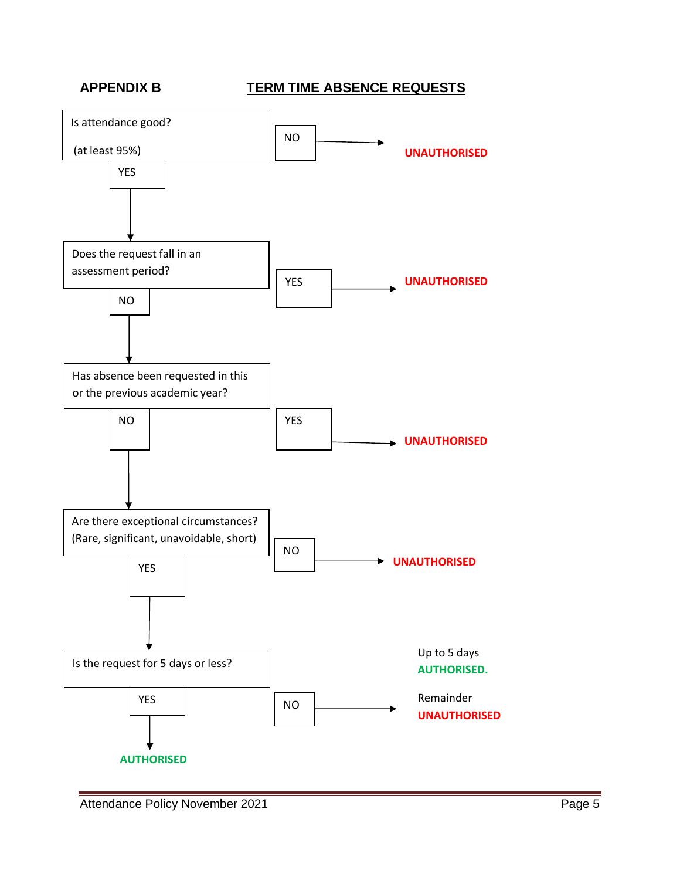# **APPENDIX B TERM TIME ABSENCE REQUESTS**